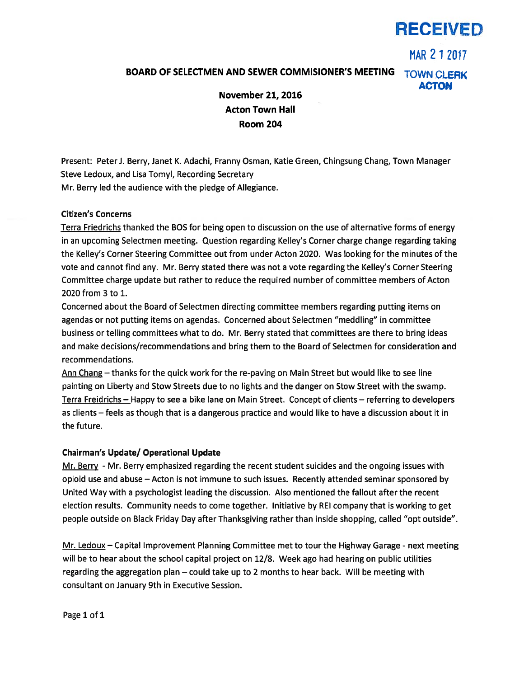# RECEIVED

MAR 21 2017 BOARD OF SELECTMEN AND SEWER COMMISIONER'S MEETING TOWN CLERK ACTON November 21, 2016

Acton Town Hall Room 204

Present: Peter J. Berry, Janet K. Adachi, Franny Osman, Katie Green, Chingsung Chang, Town Manager Steve Ledoux, and Lisa Tomyl, Recording Secretary Mr. Berry led the audience with the pledge of Allegiance.

## Citizen's Concerns

Terra Friedrichs thanked the BOS for being open to discussion on the use of alternative forms of energy in an upcoming Selectmen meeting. Question regarding Kelley's Corner charge change regarding taking the Kelley's Corner Steering Committee out from under Acton 2020. Was looking for the minutes of the vote and cannot find any. Mr. Berry stated there was not <sup>a</sup> vote regarding the Kelley's Corner Steering Committee charge update but rather to reduce the required number of committee members of Acton 2020 from 3 to 1.

Concerned about the Board of Selectmen directing committee members regarding putting items on agendas or not putting items on agendas. Concerned about Selectmen "meddling" in committee business or telling committees what to do. Mr. Berry stated that committees are there to bring ideas and make decisions/recommendations and bring them to the Board of Selectmen for consideration and recommendations.

Ann Chang — thanks for the quick work for the re-paving on Main Street but would like to see line painting on Liberty and Stow Streets due to no lights and the danger on Stow Street with the swamp. Terra Freidrichs — Happy to see <sup>a</sup> bike lane on Main Street. Concept of clients — referring to developers as clients — feels as though that is <sup>a</sup> dangerous practice and would like to have <sup>a</sup> discussion about it in the future.

## Chairman's Update/ Operational Update

Mr. Berry - Mr. Berry emphasized regarding the recent student suicides and the ongoing issues with opioid use and abuse — Acton is not immune to such issues. Recently attended seminar sponsored by United Way with <sup>a</sup> psychologist leading the discussion. Also mentioned the fallout after the recent election results. Community needs to come together. Initiative by REI company that is working to ge<sup>t</sup> people outside on Black Friday Day after Thanksgiving rather than inside shopping, called "opt outside".

Mr. Ledoux — Capital Improvement Planning Committee met to tour the Highway Garage - next meeting will be to hear about the school capital project on 12/8. Week ago had hearing on public utilities regarding the aggregation plan — could take up to 2 months to hear back. Will be meeting with consultant on January 9th in Executive Session.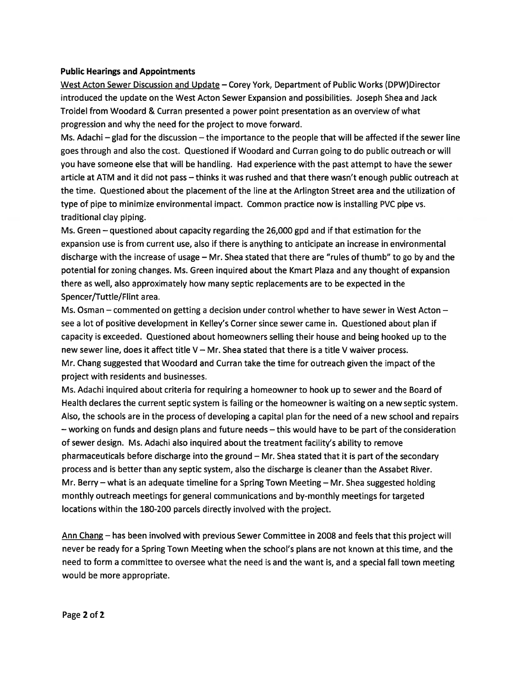### Public Hearings and Appointments

West Acton Sewer Discussion and Update — Corey York, Department of Public Works (DPW)Director introduced the update on the West Acton Sewer Expansion and possibilities. Joseph Shea and Jack Troidel from Woodard & Curran presented <sup>a</sup> power point presentation as an overview of what progression and why the need for the project to move forward.

Ms. Adachi —glad for the discussion —the importance to the people that will be affected if the sewer line goes through and also the cost. Questioned if Woodard and Curran going to do public outreach or will you have someone else that will be handling. Had experience with the pas<sup>t</sup> attempt to have the sewer article at ATM and it did not pass — thinks it was rushed and that there wasn't enough public outreach at the time. Questioned about the placement of the line at the Arlington Street area and the utilization of type of pipe to minimize environmental impact. Common practice now is installing PVC pipe vs. traditional clay piping.

Ms. Green — questioned about capacity regarding the 26,000 gpd and if that estimation for the expansion use is from current use, also if there is anything to anticipate an increase in environmental discharge with the increase of usage — Mr. Shea stated that there are "rules of thumb" to go by and the potential for zoning changes. Ms. Green inquired about the Kmart Plaza and any thought of expansion there as well, also approximately how many septic replacements are to be expected in the Spencer/Tuttle/Flint area.

Ms. Osman — commented on getting <sup>a</sup> decision under control whether to have sewer in West Acton see <sup>a</sup> lot of positive development in Kelley's Corner since sewer came in. Questioned about plan if capacity is exceeded. Questioned about homeowners selling their house and being hooked up to the new sewer line, does it affect title  $V - Mr$ . Shea stated that there is a title V waiver process. Mr. Chang suggested that Woodard and Curran take the time for outreach given the impact of the project with residents and businesses.

Ms. Adachi inquired about criteria for requiring <sup>a</sup> homeowner to hook up to sewer and the Board of Health declares the current septic system is failing or the homeowner is waiting on <sup>a</sup> new septic system. Also, the schools are in the process of developing <sup>a</sup> capital plan for the need of <sup>a</sup> new school and repairs — working on funds and design plans and future needs — this would have to be par<sup>t</sup> of the consideration of sewer design. Ms. Adachi also inquired about the treatment facility's ability to remove pharmaceuticals before discharge into the ground — Mr. Shea stated that it is par<sup>t</sup> of the secondary process and is better than any septic system, also the discharge is cleaner than the Assabet River. Mr. Berry — what is an adequate timeline for <sup>a</sup> Spring Town Meeting — Mr. Shea suggested holding monthly outreach meetings for general communications and by-monthly meetings for targeted locations within the 180-200 parcels directly involved with the project.

Ann Chang — has been involved with previous Sewer Committee in 2008 and feels that this project will never be ready for <sup>a</sup> Spring Town Meeting when the school's plans are not known at this time, and the need to form <sup>a</sup> committee to oversee what the need is and the want is, and <sup>a</sup> special fall town meeting would be more appropriate.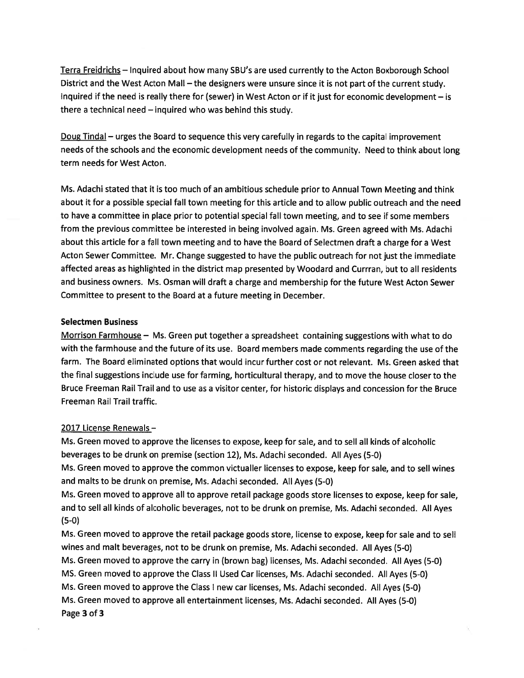Terra Freidrichs — Inquired about how many SBU's are used currently to the Acton Boxborough School District and the West Acton Mall — the designers were unsure since it is not par<sup>t</sup> of the current study. Inquired if the need is really there for (sewer) in West Acton or if it just for economic development — is there <sup>a</sup> technical need — inquired who was behind this study.

Doug Tindal – urges the Board to sequence this very carefully in regards to the capital improvement needs of the schools and the economic development needs of the community. Need to think about long term needs for West Acton.

Ms. Adachi stated that it is too much of an ambitious schedule prior to Annual Town Meeting and think about it for <sup>a</sup> possible special fall town meeting for this article and to allow public outreach and the need to have <sup>a</sup> committee in place prior to potential special fall town meeting, and to see if some members from the previous committee be interested in being involved again. Ms. Green agreed with Ms. Adachi about this article for <sup>a</sup> fall town meeting and to have the Board of Selectmen draft <sup>a</sup> charge for <sup>a</sup> West Acton Sewer Committee. Mr. Change suggested to have the public outreach for not just the immediate affected areas as highlighted in the district map presented by Woodard and Currran, but to all residents and business owners. Ms. Osman will draft <sup>a</sup> charge and membership for the future West Acton Sewer Committee to presen<sup>t</sup> to the Board at <sup>a</sup> future meeting in December.

#### Selectmen Business

Morrison Farmhouse  $-$  Ms. Green put together a spreadsheet containing suggestions with what to do with the farmhouse and the future of its use. Board members made comments regarding the use of the farm. The Board eliminated options that would incur further cost or not relevant. Ms. Green asked that the final suggestions include use for farming, horticultural therapy, and to move the house closer to the Bruce Freeman Rail Trail and to use as <sup>a</sup> visitor center, for historic displays and concession for the Bruce Freeman Rail Trail traffic.

#### 2017 License Renewals —

Ms. Green moved to approve the licenses to expose, keep for sale, and to sell all kinds of alcoholic beverages to be drunk on premise (section 12), Ms. Adachi seconded. All Ayes (5-0) Ms. Green moved to approve the common victualler licenses to expose, keep for sale, and to sell wines and malts to be drunk on premise, Ms. Adachi seconded. All Ayes (5-0) Ms. Green moved to approve all to approve retail package goods store licenses to expose, keep for sale, and to sell all kinds of alcoholic beverages, not to be drunk on premise, Ms. Adachi seconded. All Ayes (5-0)

Ms. Green moved to approve the retail package goods store, license to expose, keep for sale and to sell wines and malt beverages, not to be drunk on premise, Ms. Adachi seconded. All Ayes (5-0) Ms. Green moved to approve the carry in (brown bag) licenses, Ms. Adachi seconded. All Ayes (5-0) MS. Green moved to approve the Class II Used Car licenses, Ms. Adachi seconded. All Ayes (5-0) Ms. Green moved to approve the Class <sup>I</sup> new car licenses, Ms. Adachi seconded. All Ayes (5-0) Ms. Green moved to approve all entertainment licenses, Ms. Adachi seconded. All Ayes (5-0) Page 3 of 3